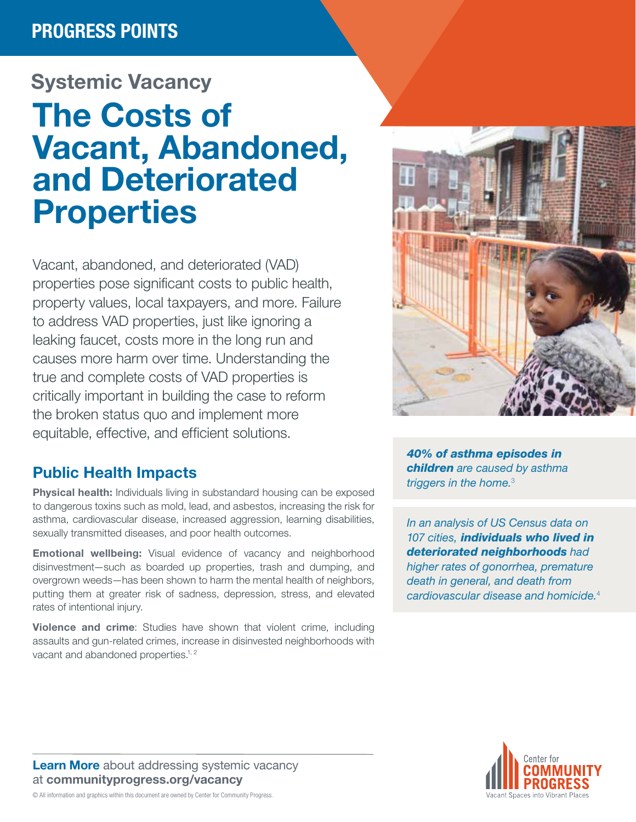## Systemic Vacancy

# The Costs of Vacant, Abandoned, and Deteriorated Properties

Vacant, abandoned, and deteriorated (VAD) properties pose significant costs to public health, property values, local taxpayers, and more. Failure to address VAD properties, just like ignoring a leaking faucet, costs more in the long run and causes more harm over time. Understanding the true and complete costs of VAD properties is critically important in building the case to reform the broken status quo and implement more equitable, effective, and efficient solutions.

#### Public Health Impacts

**Physical health:** Individuals living in substandard housing can be exposed to dangerous toxins such as mold, lead, and asbestos, increasing the risk for asthma, cardiovascular disease, increased aggression, learning disabilities, sexually transmitted diseases, and poor health outcomes.

**Emotional wellbeing:** Visual evidence of vacancy and neighborhood disinvestment—such as boarded up properties, trash and dumping, and overgrown weeds—has been shown to harm the mental health of neighbors, putting them at greater risk of sadness, depression, stress, and elevated rates of intentional injury.

Violence and crime: Studies have shown that violent crime, including assaults and gun-related crimes, increase in disinvested neighborhoods with vacant and abandoned properties.<sup>1, 2</sup>



*40% of asthma episodes in children are caused by asthma triggers in the home.*<sup>3</sup>

*In an analysis of US Census data on 107 cities, individuals who lived in deteriorated neighborhoods had higher rates of gonorrhea, premature death in general, and death from cardiovascular disease and homicide.*<sup>4</sup>

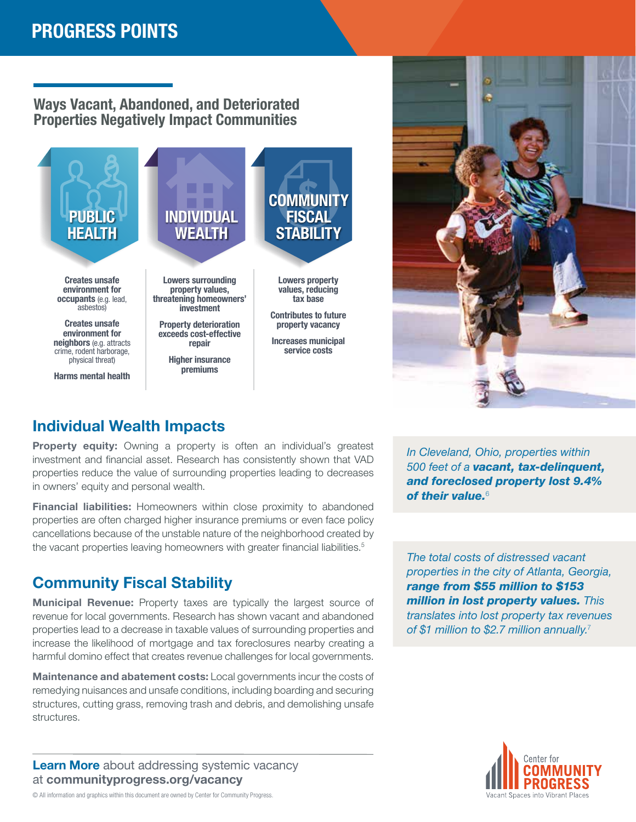#### Ways Vacant, Abandoned, and Deteriorated Properties Negatively Impact Communities





#### Individual Wealth Impacts

**Property equity:** Owning a property is often an individual's greatest investment and financial asset. Research has consistently shown that VAD properties reduce the value of surrounding properties leading to decreases in owners' equity and personal wealth.

Financial liabilities: Homeowners within close proximity to abandoned properties are often charged higher insurance premiums or even face policy cancellations because of the unstable nature of the neighborhood created by the vacant properties leaving homeowners with greater financial liabilities.<sup>5</sup>

#### Community Fiscal Stability

Municipal Revenue: Property taxes are typically the largest source of revenue for local governments. Research has shown vacant and abandoned properties lead to a decrease in taxable values of surrounding properties and increase the likelihood of mortgage and tax foreclosures nearby creating a harmful domino effect that creates revenue challenges for local governments.

Maintenance and abatement costs: Local governments incur the costs of remedying nuisances and unsafe conditions, including boarding and securing structures, cutting grass, removing trash and debris, and demolishing unsafe structures.

**Learn More** [about addressing systemic vacancy](https://communityprogress.org/resources/vacancy/) at [communityprogress.org/vacancy](https://communityprogress.org/resources/vacancy/)

*In Cleveland, Ohio, properties within 500 feet of a vacant, tax-delinquent, and foreclosed property lost 9.4% of their value.*<sup>6</sup>

*The total costs of distressed vacant properties in the city of Atlanta, Georgia, range from \$55 million to \$153 million in lost property values. This translates into lost property tax revenues of \$1 million to \$2.7 million annually.*<sup>7</sup>